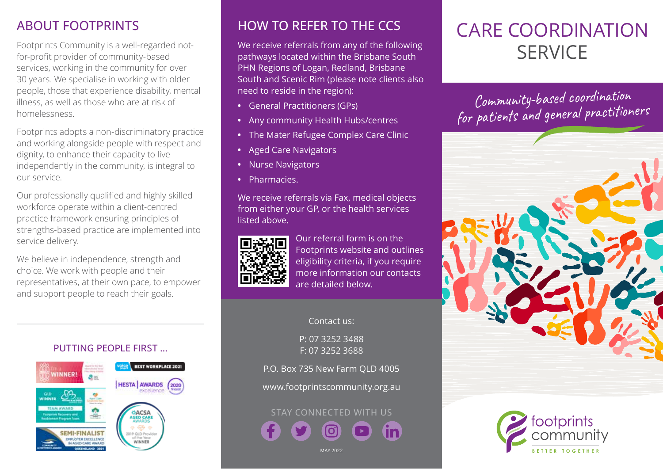## ABOUT FOOTPRINTS

Footprints Community is a well-regarded notfor-profit provider of community-based services, working in the community for over 30 years. We specialise in working with older people, those that experience disability, mental illness, as well as those who are at risk of homelessness.

Footprints adopts a non-discriminatory practice and working alongside people with respect and dignity, to enhance their capacity to live independently in the community, is integral to our service.

Our professionally qualified and highly skilled workforce operate within a client-centred practice framework ensuring principles of strengths-based practice are implemented into service delivery.

We believe in independence, strength and choice. We work with people and their representatives, at their own pace, to empower and support people to reach their goals.

#### PUTTING PEOPLE FIRST …



### HOW TO REFER TO THE CCS

We receive referrals from any of the following pathways located within the Brisbane South PHN Regions of Logan, Redland, Brisbane South and Scenic Rim (please note clients also need to reside in the region):

- **•** General Practitioners (GPs)
- **•** Any community Health Hubs/centres
- **•** The Mater Refugee Complex Care Clinic
- **•** Aged Care Navigators
- **•** Nurse Navigators
- **•** Pharmacies.

We receive referrals via Fax, medical objects from either your GP, or the health services listed above.



Our referral form is on the Footprints website and outlines eligibility criteria, if you require more information our contacts are detailed below.

#### Contact us:

P: 07 3252 3488 F: 07 3252 3688

P.O. Box 735 New Farm QLD 4005

www.footprintscommunity.org.au

# STAY CONNECTED WITH US

MAY 2023

# CARE COORDINATION **SERVICE**

Community-based coordination for patients and general practitioners